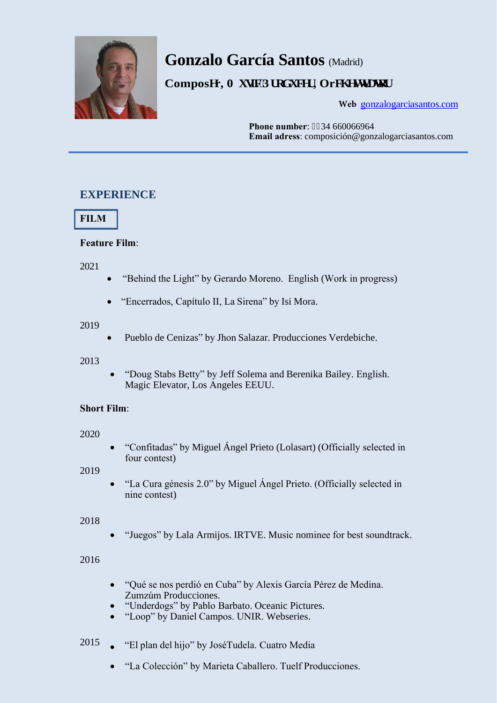

# **Gonzalo García Santos** (Madrid)

**Composgr, O wile'Rt of wegt, Orej gust c vot** 

Web [gonzalogarciasantos.com](http://gonzalogarciasantos.com/)

**Phone number: 2234 660066964 Email adress**: composición@gonzalogarciasantos.com

# **EXPERIENCE**



# **Feature Film**:

2021

- "Behind the Light" by Gerardo Moreno. English (Work in progress)
- "Encerrados, Capítulo II, La Sirena" by Isi Mora.

### 2019

Pueblo de Cenizas" by Jhon Salazar. Producciones Verdebiche.

# 2013

 "Doug Stabs Betty" by Jeff Solema and Berenika Bailey. English. Magic Elevator, Los Angeles EEUU.

# **Short Film**:

2020

 "Confitadas" by Miguel Ángel Prieto (Lolasart) (Officially selected in four contest)

2019

 "La Cura génesis 2.0" by Miguel Ángel Prieto. (Officially selected in nine contest)

# 2018

"Juegos" by Lala Armijos. IRTVE. Music nominee for best soundtrack.

# 2016

- "Qué se nos perdió en Cuba" by Alexis García Pérez de Medina. Zumzúm Producciones.
- "Underdogs" by Pablo Barbato. Oceanic Pictures.
- "Loop" by Daniel Campos. UNIR. Webseries.
- <sup>2015</sup> "El plan del hijo" by José Tudela. Cuatro Media
	- "La Colección" by Marieta Caballero. Tuelf Producciones.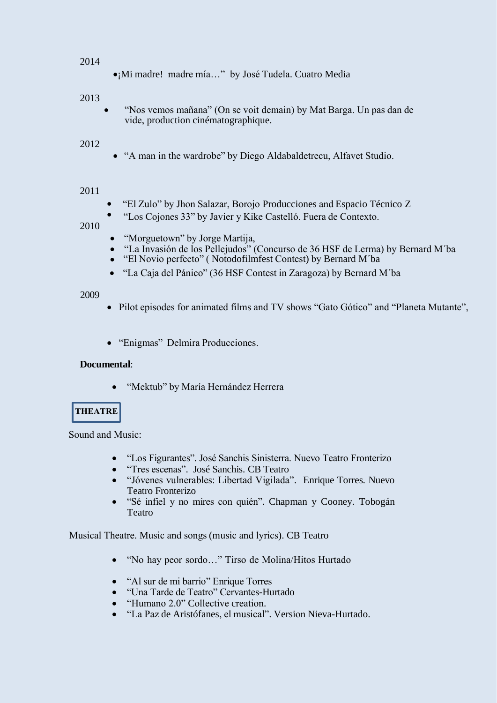#### 2014

¡Mi madre! madre mía…" by José Tudela. Cuatro Media

### 2013

 "Nos vemos mañana" (On se voit demain) by Mat Barga. Un pas dan de vide, production cinématographique.

#### 2012

"A man in the wardrobe" by Diego Aldabaldetrecu, Alfavet Studio.

#### 2011

- "El Zulo" by Jhon Salazar, Borojo Producciones and Espacio Técnico Z
- "Los Cojones 33" by Javier y Kike Castelló. Fuera de Contexto.

#### 2010

- "Morguetown" by Jorge Martija,
- "La Invasión de los Pellejudos" (Concurso de 36 HSF de Lerma) by Bernard M´ba
	- "El Novio perfecto" ( Notodofilmfest Contest) by Bernard M´ba
- "La Caja del Pánico" (36 HSF Contest in Zaragoza) by Bernard M´ba

#### 2009

- Pilot episodes for animated films and TV shows "Gato Gótico" and "Planeta Mutante",
- "Enigmas" Delmira Producciones.

#### **Documental**:

"Mektub" by María Hernández Herrera

# **THEATRE**

Sound and Music:

- "Los Figurantes". José Sanchis Sinisterra. Nuevo Teatro Fronterizo
- "Tres escenas". José Sanchis. CB Teatro
- "Jóvenes vulnerables: Libertad Vigilada". Enrique Torres. Nuevo Teatro Fronterizo
- "Sé infiel y no mires con quién". Chapman y Cooney. Tobogán Teatro

Musical Theatre. Music and songs (music and lyrics). CB Teatro

- "No hay peor sordo…" Tirso de Molina/Hitos Hurtado
- "Al sur de mi barrio" Enrique Torres
- "Una Tarde de Teatro" Cervantes-Hurtado
- "Humano 2.0" Collective creation.
- "La Paz de Aristófanes, el musical". Version Nieva-Hurtado.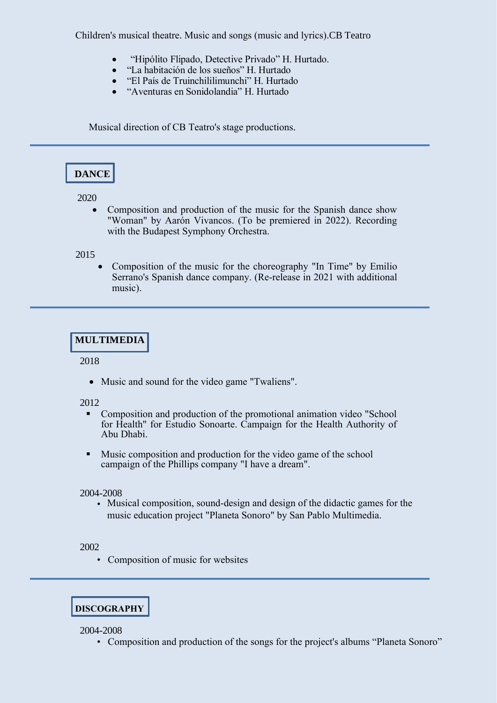Children's musical theatre. Music and songs (music and lyrics).CB Teatro

- "Hipólito Flipado, Detective Privado" H. Hurtado.
- "La habitación de los sueños" H. Hurtado
- "El País de Truinchililimunchi" H. Hurtado
- "Aventuras en Sonidolandia" H. Hurtado

Musical direction of CB Teatro's stage productions.

# **DANCE**

2020

 Composition and production of the music for the Spanish dance show "Woman" by Aarón Vivancos. (To be premiered in 2022). Recording with the Budapest Symphony Orchestra.

#### 2015

 Composition of the music for the choreography "In Time" by Emilio Serrano's Spanish dance company. (Re-release in 2021 with additional music).

# **MULTIMEDIA**

#### 2018

Music and sound for the video game "Twaliens".

#### 2012

- Composition and production of the promotional animation video "School for Health" for Estudio Sonoarte. Campaign for the Health Authority of Abu Dhabi.
- Music composition and production for the video game of the school campaign of the Phillips company "I have a dream".

#### 2004-2008

• Musical composition, sound-design and design of the didactic games for the music education project "Planeta Sonoro" by San Pablo Multimedia.

#### 2002

• Composition of music for websites

# **DISCOGRAPHY**

2004-2008

• Composition and production of the songs for the project's albums "Planeta Sonoro"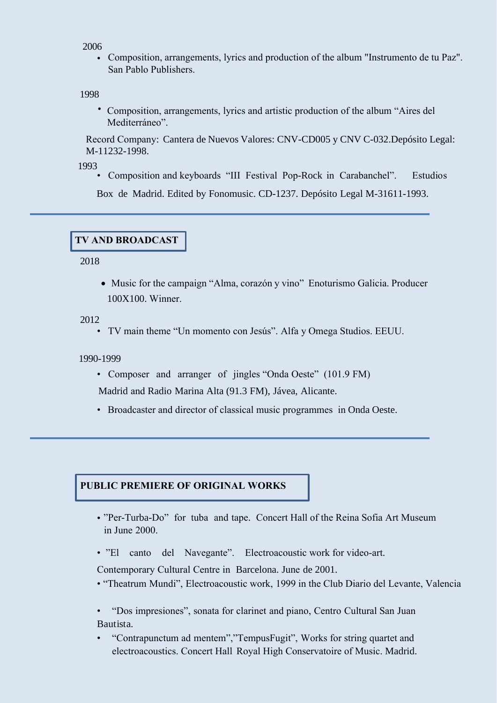#### 2006

• Composition, arrangements, lyrics and production of the album "Instrumento de tu Paz". San Pablo Publishers.

#### 1998

• Composition, arrangements, lyrics and artistic production of the album "Aires del Mediterráneo".

Record Company: Cantera de Nuevos Valores: CNV-CD005 y CNV C-032.Depósito Legal: M-11232-1998.

1993

• Composition and keyboards "III Festival Pop-Rock in Carabanchel". Estudios

Box de Madrid. Edited by Fonomusic. CD-1237. Depósito Legal M-31611-1993.

#### **TV AND BROADCAST**

2018

 Music for the campaign "Alma, corazón y vino" Enoturismo Galicia. Producer 100X100. Winner.

2012

• TV main theme "Un momento con Jesús". Alfa y Omega Studios. EEUU.

1990-1999

• Composer and arranger of jingles "Onda Oeste" (101.9 FM)

Madrid and Radio Marina Alta (91.3 FM), Jávea, Alicante.

• Broadcaster and director of classical music programmes in Onda Oeste.

# **PUBLIC PREMIERE OF ORIGINAL WORKS**

- "Per-Turba-Do" for tuba and tape. Concert Hall of the Reina Sofia Art Museum in June 2000.
- "El canto del Navegante". Electroacoustic work for video-art.

Contemporary Cultural Centre in Barcelona. June de 2001.

• "Theatrum Mundi", Electroacoustic work, 1999 in the Club Diario del Levante, Valencia

• "Dos impresiones", sonata for clarinet and piano, Centro Cultural San Juan Bautista.

• "Contrapunctum ad mentem","TempusFugit", Works for string quartet and electroacoustics. Concert Hall Royal High Conservatoire of Music. Madrid.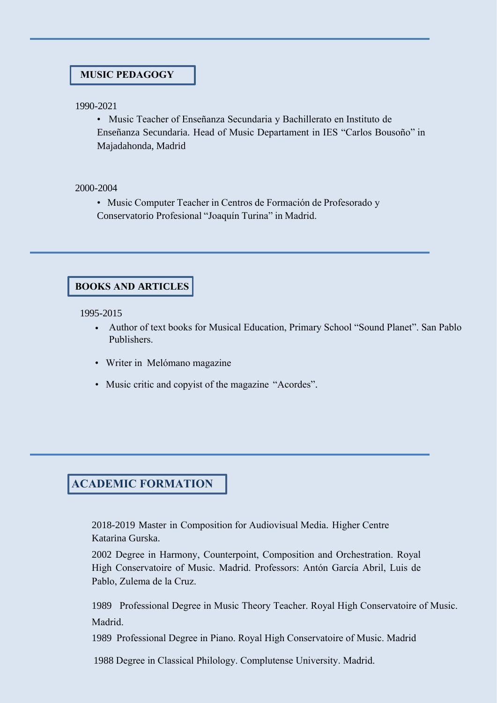### **MUSIC PEDAGOGY**

1990-2021

• Music Teacher of Enseñanza Secundaria y Bachillerato en Instituto de Enseñanza Secundaria. Head of Music Departament in IES "Carlos Bousoño" in Majadahonda, Madrid

2000-2004

• Music Computer Teacher in Centros de Formación de Profesorado y Conservatorio Profesional "Joaquín Turina" in Madrid.

### **BOOKS AND ARTICLES**

1995-2015

- Author of text books for Musical Education, Primary School "Sound Planet". San Pablo Publishers.
- Writer in Melómano magazine
- Music critic and copyist of the magazine "Acordes".

# **ACADEMIC FORMATION**

2018-2019 Master in Composition for Audiovisual Media. Higher Centre Katarina Gurska.

2002 Degree in Harmony, Counterpoint, Composition and Orchestration. Royal High Conservatoire of Music. Madrid. Professors: Antón García Abril, Luis de Pablo, Zulema de la Cruz.

1989 Professional Degree in Music Theory Teacher. Royal High Conservatoire of Music. Madrid.

1989 Professional Degree in Piano. Royal High Conservatoire of Music. Madrid

1988 Degree in Classical Philology. Complutense University. Madrid.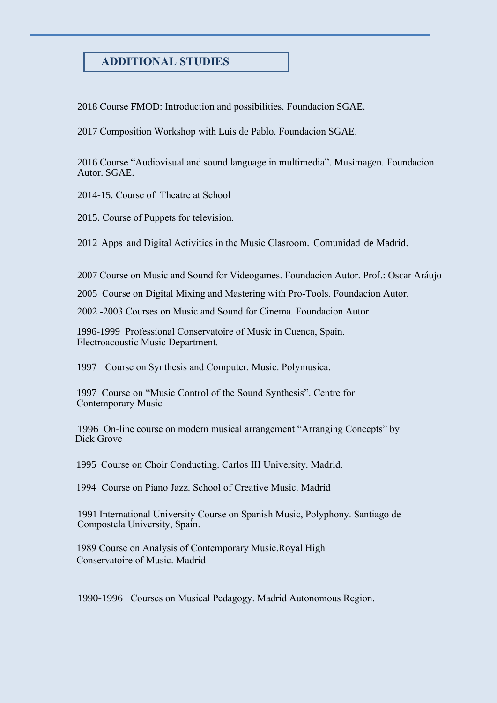# **ADDITIONAL STUDIES**

2018 Course FMOD: Introduction and possibilities. Foundacion SGAE.

2017 Composition Workshop with Luis de Pablo. Foundacion SGAE.

2016 Course "Audiovisual and sound language in multimedia". Musimagen. Foundacion Autor. SGAE.

2014-15. Course of Theatre at School

2015. Course of Puppets for television.

2012 Apps and Digital Activities in the Music Clasroom. Comunidad de Madrid.

2007 Course on Music and Sound for Videogames. Foundacion Autor. Prof.: Oscar Aráujo

2005 Course on Digital Mixing and Mastering with Pro-Tools. Foundacion Autor.

2002 -2003 Courses on Music and Sound for Cinema. Foundacion Autor

1996-1999 Professional Conservatoire of Music in Cuenca, Spain. Electroacoustic Music Department.

1997 Course on Synthesis and Computer. Music. Polymusica.

1997 Course on "Music Control of the Sound Synthesis". Centre for Contemporary Music

1996 On-line course on modern musical arrangement "Arranging Concepts" by Dick Grove

1995 Course on Choir Conducting. Carlos III University. Madrid.

1994 Course on Piano Jazz. School of Creative Music. Madrid

1991 International University Course on Spanish Music, Polyphony. Santiago de Compostela University, Spain.

1989 Course on Analysis of Contemporary Music.Royal High Conservatoire of Music. Madrid

1990-1996 Courses on Musical Pedagogy. Madrid Autonomous Region.